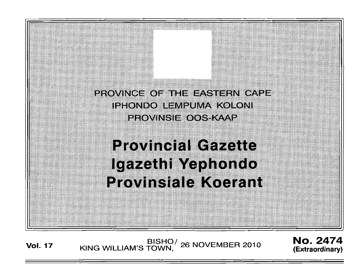

# **Provincial Gazette** Igazethi Yephondo **Provinsiale Koerant**

BISHO/ 26 NOVEMBER 2010<br>KING WILLIAM'S TOWN, 26 NOVEMBER 2010 **Vol. 17**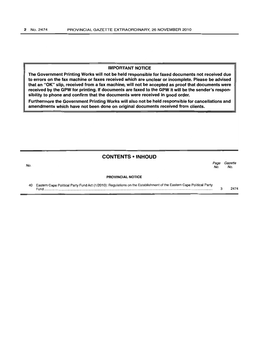# IMPORTANT NOTICE

"rhe Government Printing Works will not be held responsible for faxed documents not received due to errors on the fax machine or faxes received which are unclear or incomplete. Please be advised that an "OK" slip, received from a fax machine, will not be accepted as proof that documents were received by the GPW for printing. If documents are faxed to the GPW it will be the sender's responsibility to phone and confirm that the documents were received in good order.

Furthermore the Government Printing Works will also not be held responsible for cancellations and amendments which have not been done on original documents received from clients.

| <b>CONTENTS • INHOUD</b> |                                                                                                                      |             |                |  |
|--------------------------|----------------------------------------------------------------------------------------------------------------------|-------------|----------------|--|
| No.                      |                                                                                                                      | Page<br>No. | Gazette<br>No. |  |
|                          | <b>PROVINCIAL NOTICE</b>                                                                                             |             |                |  |
| 40                       | Eastern Cape Political Party Fund Act (1/2010): Regulations on the Establishment of the Eastern Cape Political Party | 3           | 2474           |  |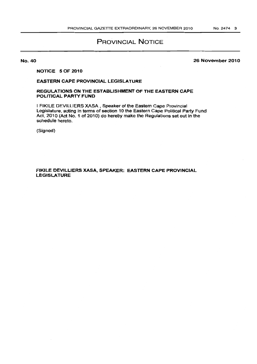# PROVINCIAL NOTICE

No. 40

# 26 November 2010

# NOTICE 5 OF 2010

# EASTERN CAPE PROVINCIAL LEGISLATURE

# REGULATIONS ON THE ESTABLISHMENT OF THE EASTERN CAPE POLITICAL PARTY FUND

I FIKILE DEVILLIERS XASA, Speaker of the Eastern Cape Provincial Legislature, acting in terms of section 10 the Eastern Cape Political Party Fund Act. 2010 (Act No. 1 of 2010) do hereby make the Regulations set out in the schedule hereto.

(Signed)

# FIKILE DEVILLIERS XASA, SPEAKER: EASTERN CAPE PROVINCIAL LEGISLATURE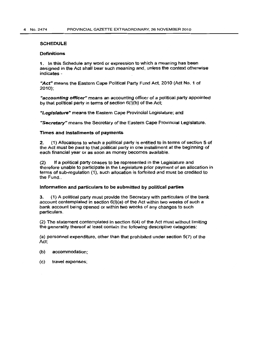#### **SCHEDULE**

#### Definitions

1. In this Schedule any word or expression to which a meaning has been assigned in the Act shall bear such meaning and, unless the context otherwise indicates -

*"Act"* means the Eastern Cape Political Party Fund Act, 2010 (Act NO.1 of 2010);

"accounting officer" means an accounting officer of a political party appointed by that political party in terms of section 6(1){b) of the Act;

"Legislature" means the Eastern Cape Provincial Legislature; and

"Secretary" means the Secretary of the Eastern Cape Provincial Legislature.

### Times and installments of payments

2. (1) Allocations to which a political party is entitled to in terms of section 5 of the Act must be paid to that political party in one installment at the beginning of each financial year or as soon as money becomes available.

(2) If a political party ceases to be represented in the Legislature and therefore unable to participate in the Legislature prior payment of an allocation in terms of sub-regulation (1). such allocation is forfeited and must be credited to the Fund..

# Information and particulars to be submitted by political parties

3. (1) A political party must provide the Secretary with particulars of the bank account contemplated in section 6(1)(a) of the Act within two weeks of such a bank account being opened or within two weeks of any changes to such particulars.

(2) The statement contemplated in section 6(4) of the Act must without limiting the generality thereof at least contain the following descriptive categories:

 $(a)$  personnel expenditure, other than that prohibited under section  $5(7)$  of the Act;

- (b) accommodation;
- (c) travel expenses;